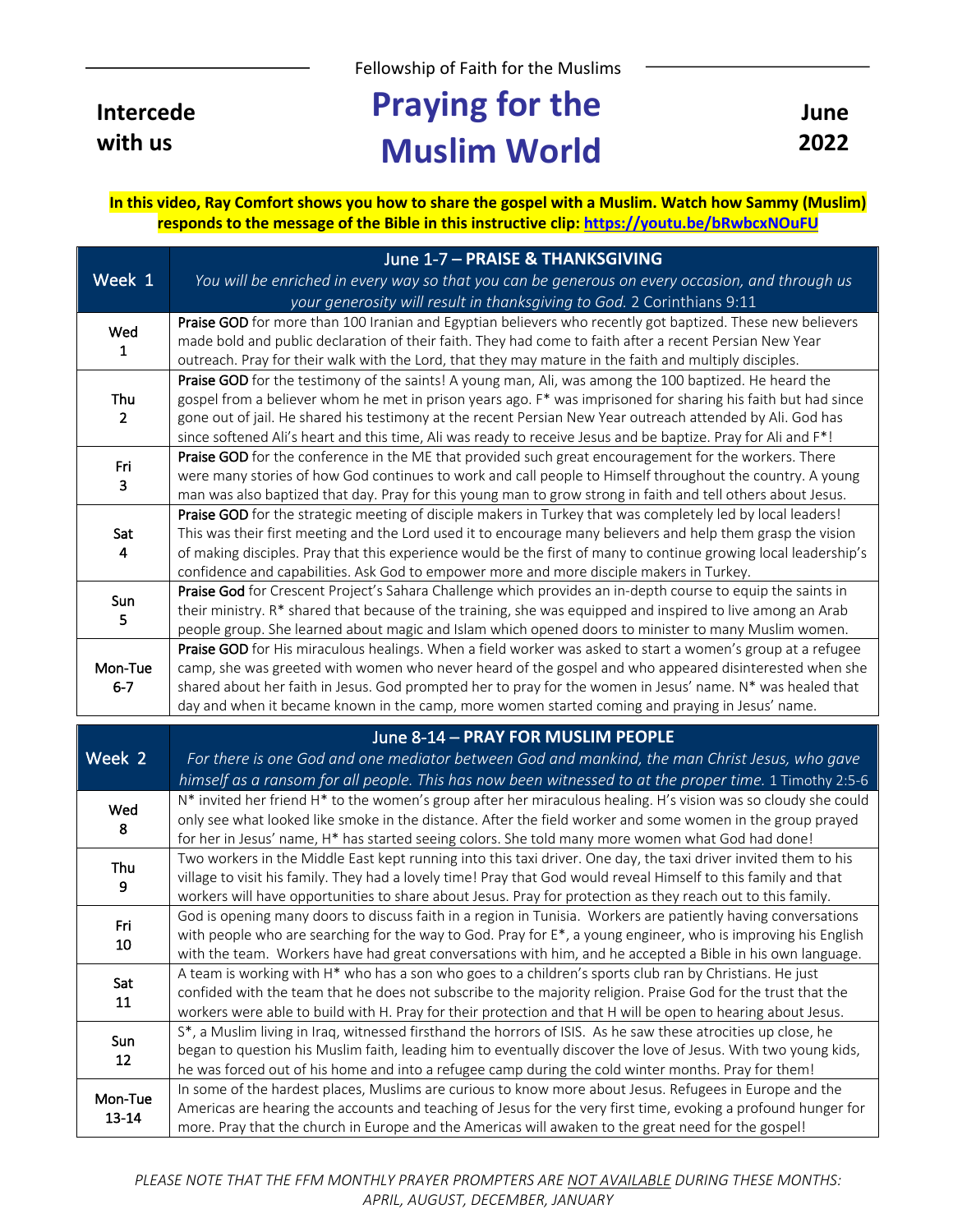Fellowship of Faith for the Muslims

**Intercede with us**

## **Praying for the Muslim World**

**June 2022**

**In this video, Ray Comfort shows you how to share the gospel with a Muslim. Watch how Sammy (Muslim) responds to the message of the Bible in this instructive clip: https://youtu.be/bRwbcxNOuFU**

|                       | June 1-7 - PRAISE & THANKSGIVING                                                                                                                                                                                            |
|-----------------------|-----------------------------------------------------------------------------------------------------------------------------------------------------------------------------------------------------------------------------|
| Week 1                | You will be enriched in every way so that you can be generous on every occasion, and through us                                                                                                                             |
|                       | your generosity will result in thanksgiving to God. 2 Corinthians 9:11                                                                                                                                                      |
| Wed<br>$\mathbf{1}$   | Praise GOD for more than 100 Iranian and Egyptian believers who recently got baptized. These new believers                                                                                                                  |
|                       | made bold and public declaration of their faith. They had come to faith after a recent Persian New Year                                                                                                                     |
|                       | outreach. Pray for their walk with the Lord, that they may mature in the faith and multiply disciples.                                                                                                                      |
| Thu<br>$\overline{2}$ | Praise GOD for the testimony of the saints! A young man, Ali, was among the 100 baptized. He heard the                                                                                                                      |
|                       | gospel from a believer whom he met in prison years ago. F* was imprisoned for sharing his faith but had since<br>gone out of jail. He shared his testimony at the recent Persian New Year outreach attended by Ali. God has |
|                       | since softened Ali's heart and this time, Ali was ready to receive Jesus and be baptize. Pray for Ali and F*!                                                                                                               |
| Fri<br>3              | Praise GOD for the conference in the ME that provided such great encouragement for the workers. There                                                                                                                       |
|                       | were many stories of how God continues to work and call people to Himself throughout the country. A young                                                                                                                   |
|                       | man was also baptized that day. Pray for this young man to grow strong in faith and tell others about Jesus.                                                                                                                |
| Sat                   | Praise GOD for the strategic meeting of disciple makers in Turkey that was completely led by local leaders!                                                                                                                 |
|                       | This was their first meeting and the Lord used it to encourage many believers and help them grasp the vision                                                                                                                |
| 4                     | of making disciples. Pray that this experience would be the first of many to continue growing local leadership's                                                                                                            |
|                       | confidence and capabilities. Ask God to empower more and more disciple makers in Turkey.<br>Praise God for Crescent Project's Sahara Challenge which provides an in-depth course to equip the saints in                     |
| Sun                   | their ministry. R* shared that because of the training, she was equipped and inspired to live among an Arab                                                                                                                 |
| 5                     | people group. She learned about magic and Islam which opened doors to minister to many Muslim women.                                                                                                                        |
|                       | Praise GOD for His miraculous healings. When a field worker was asked to start a women's group at a refugee                                                                                                                 |
| Mon-Tue               | camp, she was greeted with women who never heard of the gospel and who appeared disinterested when she                                                                                                                      |
| $6 - 7$               | shared about her faith in Jesus. God prompted her to pray for the women in Jesus' name. N* was healed that                                                                                                                  |
|                       |                                                                                                                                                                                                                             |
|                       | day and when it became known in the camp, more women started coming and praying in Jesus' name.                                                                                                                             |
|                       | June 8-14 - PRAY FOR MUSLIM PEOPLE                                                                                                                                                                                          |
| Week 2                |                                                                                                                                                                                                                             |
|                       | For there is one God and one mediator between God and mankind, the man Christ Jesus, who gave<br>himself as a ransom for all people. This has now been witnessed to at the proper time. 1 Timothy 2:5-6                     |
|                       | N* invited her friend H* to the women's group after her miraculous healing. H's vision was so cloudy she could                                                                                                              |
| Wed                   | only see what looked like smoke in the distance. After the field worker and some women in the group prayed                                                                                                                  |
| 8                     | for her in Jesus' name, H* has started seeing colors. She told many more women what God had done!                                                                                                                           |
| Thu                   | Two workers in the Middle East kept running into this taxi driver. One day, the taxi driver invited them to his                                                                                                             |
| 9                     | village to visit his family. They had a lovely time! Pray that God would reveal Himself to this family and that                                                                                                             |
|                       | workers will have opportunities to share about Jesus. Pray for protection as they reach out to this family.                                                                                                                 |
| Fri                   | God is opening many doors to discuss faith in a region in Tunisia. Workers are patiently having conversations                                                                                                               |
| 10                    | with people who are searching for the way to God. Pray for E*, a young engineer, who is improving his English                                                                                                               |
|                       | with the team. Workers have had great conversations with him, and he accepted a Bible in his own language.<br>A team is working with H* who has a son who goes to a children's sports club ran by Christians. He just       |
| Sat                   | confided with the team that he does not subscribe to the majority religion. Praise God for the trust that the                                                                                                               |
| 11                    | workers were able to build with H. Pray for their protection and that H will be open to hearing about Jesus.                                                                                                                |
| Sun                   | S*, a Muslim living in Iraq, witnessed firsthand the horrors of ISIS. As he saw these atrocities up close, he                                                                                                               |
| 12                    | began to question his Muslim faith, leading him to eventually discover the love of Jesus. With two young kids,                                                                                                              |
|                       | he was forced out of his home and into a refugee camp during the cold winter months. Pray for them!                                                                                                                         |
| Mon-Tue<br>$13 - 14$  | In some of the hardest places, Muslims are curious to know more about Jesus. Refugees in Europe and the<br>Americas are hearing the accounts and teaching of Jesus for the very first time, evoking a profound hunger for   |

*PLEASE NOTE THAT THE FFM MONTHLY PRAYER PROMPTERS ARE NOT AVAILABLE DURING THESE MONTHS: APRIL, AUGUST, DECEMBER, JANUARY*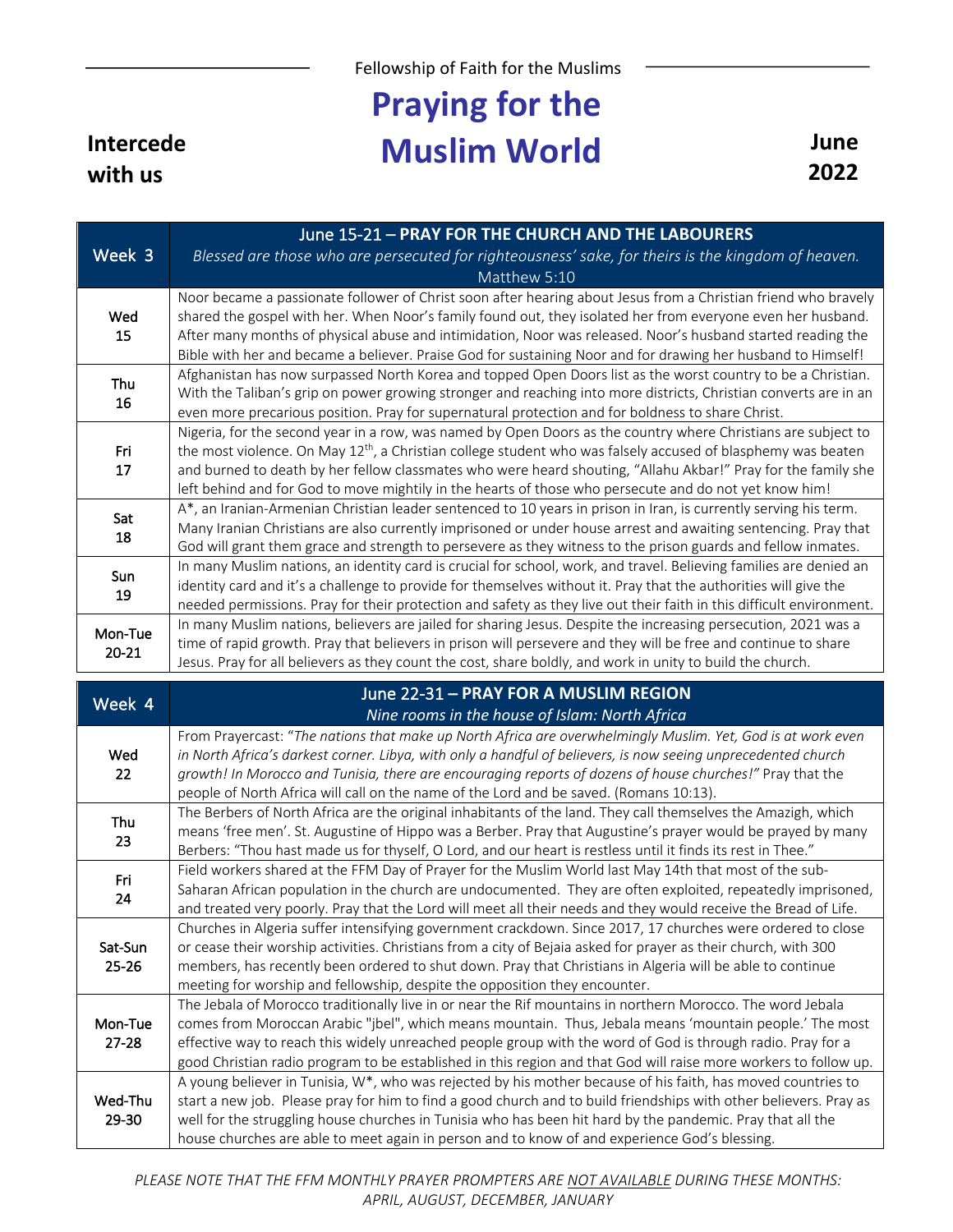Fellowship of Faith for the Muslims

## **Praying for the Muslim World** June

|                      | June 15-21 - PRAY FOR THE CHURCH AND THE LABOURERS                                                                   |
|----------------------|----------------------------------------------------------------------------------------------------------------------|
| Week 3               | Blessed are those who are persecuted for righteousness' sake, for theirs is the kingdom of heaven.                   |
|                      | Matthew 5:10                                                                                                         |
|                      | Noor became a passionate follower of Christ soon after hearing about Jesus from a Christian friend who bravely       |
| Wed                  | shared the gospel with her. When Noor's family found out, they isolated her from everyone even her husband.          |
| 15                   | After many months of physical abuse and intimidation, Noor was released. Noor's husband started reading the          |
|                      | Bible with her and became a believer. Praise God for sustaining Noor and for drawing her husband to Himself!         |
| Thu<br>16            | Afghanistan has now surpassed North Korea and topped Open Doors list as the worst country to be a Christian.         |
|                      | With the Taliban's grip on power growing stronger and reaching into more districts, Christian converts are in an     |
|                      | even more precarious position. Pray for supernatural protection and for boldness to share Christ.                    |
|                      | Nigeria, for the second year in a row, was named by Open Doors as the country where Christians are subject to        |
| Fri                  | the most violence. On May $12^{th}$ , a Christian college student who was falsely accused of blasphemy was beaten    |
| 17                   | and burned to death by her fellow classmates who were heard shouting, "Allahu Akbar!" Pray for the family she        |
|                      | left behind and for God to move mightily in the hearts of those who persecute and do not yet know him!               |
| Sat<br>18            | A*, an Iranian-Armenian Christian leader sentenced to 10 years in prison in Iran, is currently serving his term.     |
|                      | Many Iranian Christians are also currently imprisoned or under house arrest and awaiting sentencing. Pray that       |
|                      | God will grant them grace and strength to persevere as they witness to the prison guards and fellow inmates.         |
| Sun                  | In many Muslim nations, an identity card is crucial for school, work, and travel. Believing families are denied an   |
| 19                   | identity card and it's a challenge to provide for themselves without it. Pray that the authorities will give the     |
|                      | needed permissions. Pray for their protection and safety as they live out their faith in this difficult environment. |
| Mon-Tue<br>$20 - 21$ | In many Muslim nations, believers are jailed for sharing Jesus. Despite the increasing persecution, 2021 was a       |
|                      | time of rapid growth. Pray that believers in prison will persevere and they will be free and continue to share       |
|                      | Jesus. Pray for all believers as they count the cost, share boldly, and work in unity to build the church.           |
|                      | June 22-31 - PRAY FOR A MUSLIM REGION                                                                                |
| Week 4               | Altrea na ance to the hances of Islams, Alanth Africa                                                                |

| week 4               | Nine rooms in the house of Islam: North Africa                                                                                                                                                                                                                                                                                                                                                                                                           |
|----------------------|----------------------------------------------------------------------------------------------------------------------------------------------------------------------------------------------------------------------------------------------------------------------------------------------------------------------------------------------------------------------------------------------------------------------------------------------------------|
| Wed<br>22            | From Prayercast: "The nations that make up North Africa are overwhelmingly Muslim. Yet, God is at work even<br>in North Africa's darkest corner. Libya, with only a handful of believers, is now seeing unprecedented church<br>growth! In Morocco and Tunisia, there are encouraging reports of dozens of house churches!" Pray that the<br>people of North Africa will call on the name of the Lord and be saved. (Romans 10:13).                      |
| Thu<br>23            | The Berbers of North Africa are the original inhabitants of the land. They call themselves the Amazigh, which<br>means 'free men'. St. Augustine of Hippo was a Berber. Pray that Augustine's prayer would be prayed by many<br>Berbers: "Thou hast made us for thyself, O Lord, and our heart is restless until it finds its rest in Thee."                                                                                                             |
| Fri<br>24            | Field workers shared at the FFM Day of Prayer for the Muslim World last May 14th that most of the sub-<br>Saharan African population in the church are undocumented. They are often exploited, repeatedly imprisoned,<br>and treated very poorly. Pray that the Lord will meet all their needs and they would receive the Bread of Life.                                                                                                                 |
| Sat-Sun<br>$25 - 26$ | Churches in Algeria suffer intensifying government crackdown. Since 2017, 17 churches were ordered to close<br>or cease their worship activities. Christians from a city of Bejaia asked for prayer as their church, with 300<br>members, has recently been ordered to shut down. Pray that Christians in Algeria will be able to continue<br>meeting for worship and fellowship, despite the opposition they encounter.                                 |
| Mon-Tue<br>$27 - 28$ | The Jebala of Morocco traditionally live in or near the Rif mountains in northern Morocco. The word Jebala<br>comes from Moroccan Arabic "jbel", which means mountain. Thus, Jebala means 'mountain people.' The most<br>effective way to reach this widely unreached people group with the word of God is through radio. Pray for a<br>good Christian radio program to be established in this region and that God will raise more workers to follow up. |
| Wed-Thu<br>29-30     | A young believer in Tunisia, W*, who was rejected by his mother because of his faith, has moved countries to<br>start a new job. Please pray for him to find a good church and to build friendships with other believers. Pray as<br>well for the struggling house churches in Tunisia who has been hit hard by the pandemic. Pray that all the<br>house churches are able to meet again in person and to know of and experience God's blessing.         |

*PLEASE NOTE THAT THE FFM MONTHLY PRAYER PROMPTERS ARE NOT AVAILABLE DURING THESE MONTHS: APRIL, AUGUST, DECEMBER, JANUARY*